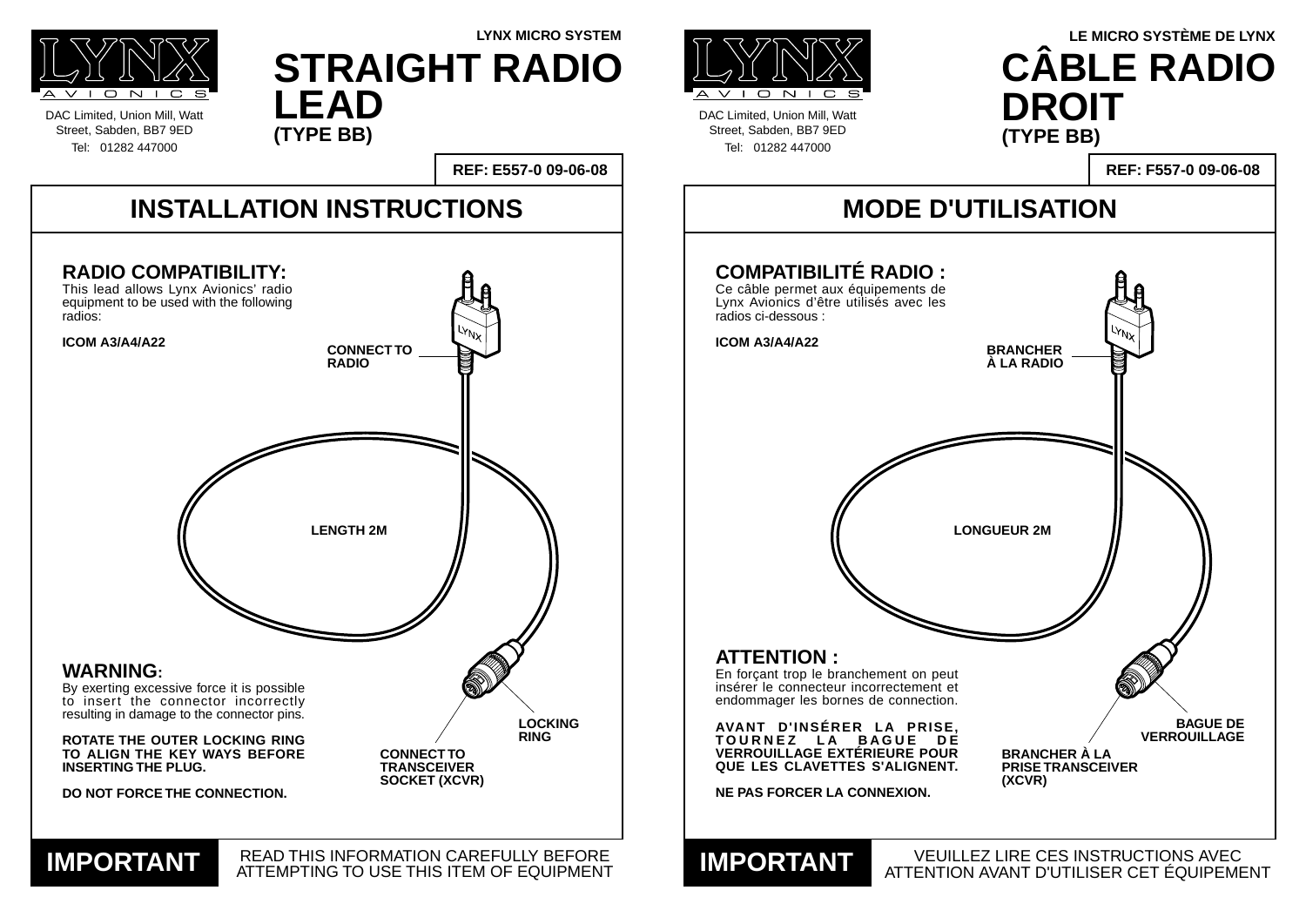DAC Limited, Union Mill, Watt Street, Sabden, BB7 9ED Tel: 01282 447000



DAC Limited, Union Mill, Watt Street, Sabden, BB7 9ED Tel: 01282 447000

**MODE D'UTILISATION**



**REF: F557-0 09-06-08**

| <b>COMPATIBILITÉ RADIO :</b><br>Ce câble permet aux équipements de<br>Lynx Avionics d'être utilisés avec les<br>radios ci-dessous :            |             |
|------------------------------------------------------------------------------------------------------------------------------------------------|-------------|
| <b>ICOM A3/A4/A22</b>                                                                                                                          |             |
|                                                                                                                                                | <b>LONG</b> |
| <b>ATTENTION:</b><br>En forçant trop le branchement on peut<br>insérer le connecteur incorrectement et<br>endommager les bornes de connection. |             |
| AVANT D'INSÉRER LA PRISE,<br>TOURNEZ LA BAGUE DE<br><b>VERROUILLAGE EXTÉRIEURE POUR</b><br>QUE LES CLAVETTES S'ALIGNENT.                       |             |
| <b>NE PAS FORCER LA CONNEXION.</b>                                                                                                             |             |
| VEUILLEZ<br>IMDADTANT                                                                                                                          |             |

## **LYNX MICRO SYSTEM LE MICRO SYSTÈME DE LYNX CÂBLE RADIO DROIT (TYPE BB)**



LIRE CES INSTRUCTIONS AVEC **INIT ON TANTEL ATTENTION AVANT D'UTILISER CET ÉQUIPEMENT** 

### **STRAIGHT RADIO LEAD (TYPE BB)**